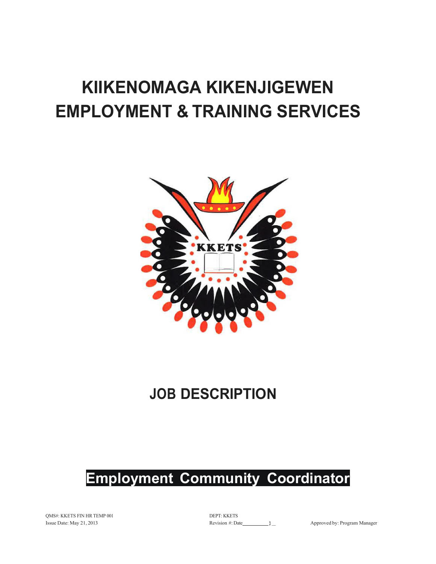# **KIIKENOMAGA KIKENJIGEWEN EMPLOYMENT & TRAINING SERVICES**



# **JOB DESCRIPTION**

# **Employment Community Coordinator**

QMS#: KKETS FIN HR TEMP 001 Issue Date: May 21, 2013

DEPT: KKETS Revision #: Date }\_ Approved by: Program Manager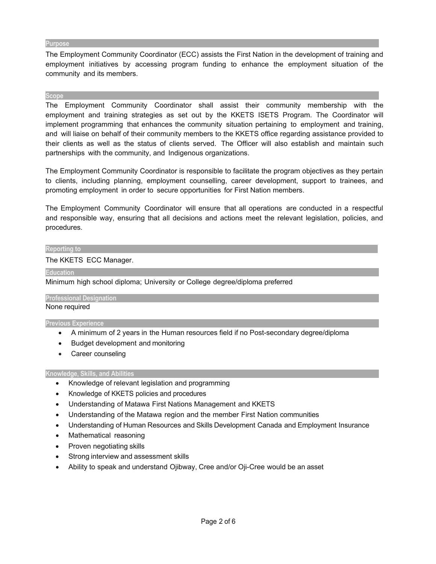#### **Purpose**

The Employment Community Coordinator (ECC) assists the First Nation in the development of training and employment initiatives by accessing program funding to enhance the employment situation of the community and its members.

#### **Scope**

The Employment Community Coordinator shall assist their community membership with the employment and training strategies as set out by the KKETS ISETS Program. The Coordinator will implement programming that enhances the community situation pertaining to employment and training, and will liaise on behalf of their community members to the KKETS office regarding assistance provided to their clients as well as the status of clients served. The Officer will also establish and maintain such partnerships with the community, and Indigenous organizations.

The Employment Community Coordinator is responsible to facilitate the program objectives as they pertain to clients, including planning, employment counselling, career development, support to trainees, and promoting employment in order to secure opportunities for First Nation members.

The Employment Community Coordinator will ensure that all operations are conducted in a respectful and responsible way, ensuring that all decisions and actions meet the relevant legislation, policies, and procedures.

#### **Reporting.to**

#### The KKETS ECC Manager.

**Education** 

Minimum high school diploma; University or College degree/diploma preferred

# **Professional Designation**

#### None required

#### **Previous Experience**

- A minimum of 2 years in the Human resources field if no Post-secondary degree/diploma
- Budget development and monitoring
- Career counseling

#### **Knowledge, Skills, and Abilities**

- Knowledge of relevant legislation and programming
- Knowledge of KKETS policies and procedures
- Understanding of Matawa First Nations Management and KKETS
- Understanding of the Matawa region and the member First Nation communities
- Understanding of Human Resources and Skills Development Canada and Employment Insurance
- Mathematical reasoning
- Proven negotiating skills
- Strong interview and assessment skills
- Ability to speak and understand Ojibway, Cree and/or Oji-Cree would be an asset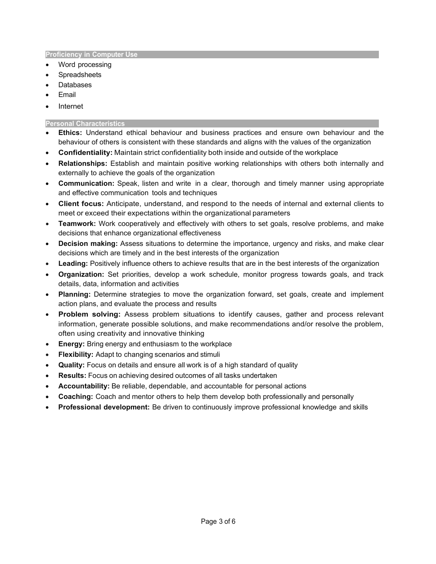#### **Proficiency in Computer Use**

- Word processing
- **Spreadsheets**
- Databases
- **Email**
- Internet

### **Personal Characteristics**

- **Ethics:** Understand ethical behaviour and business practices and ensure own behaviour and the behaviour of others is consistent with these standards and aligns with the values of the organization
- **Confidentiality:** Maintain strict confidentiality both inside and outside of the workplace
- **Relationships:** Establish and maintain positive working relationships with others both internally and externally to achieve the goals of the organization
- **Communication:** Speak, listen and write in a clear, thorough and timely manner using appropriate and effective communication tools and techniques
- **Client focus:** Anticipate, understand, and respond to the needs of internal and external clients to meet or exceed their expectations within the organizational parameters
- **Teamwork:** Work cooperatively and effectively with others to set goals, resolve problems, and make decisions that enhance organizational effectiveness
- **Decision making:** Assess situations to determine the importance, urgency and risks, and make clear decisions which are timely and in the best interests of the organization
- **Leading:** Positively influence others to achieve results that are in the best interests of the organization
- **Organization:** Set priorities, develop a work schedule, monitor progress towards goals, and track details, data, information and activities
- **Planning:** Determine strategies to move the organization forward, set goals, create and implement action plans, and evaluate the process and results
- **Problem solving:** Assess problem situations to identify causes, gather and process relevant information, generate possible solutions, and make recommendations and/or resolve the problem, often using creativity and innovative thinking
- **Energy:** Bring energy and enthusiasm to the workplace
- **Flexibility:** Adapt to changing scenarios and stimuli
- **Quality:** Focus on details and ensure all work is of a high standard of quality
- **Results:** Focus on achieving desired outcomes of all tasks undertaken
- **Accountability:** Be reliable, dependable, and accountable for personal actions
- **Coaching:** Coach and mentor others to help them develop both professionally and personally
- **Professional development:** Be driven to continuously improve professional knowledge and skills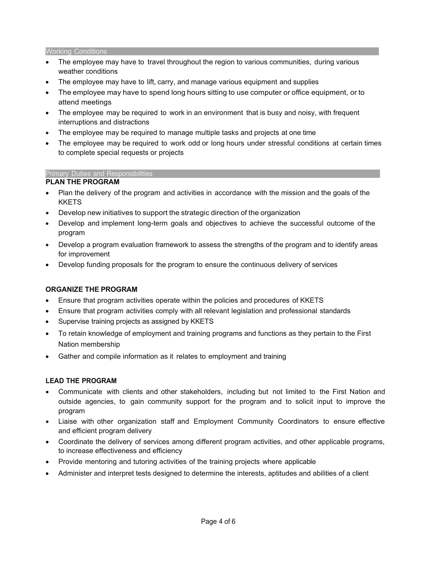#### Working Conditions

- The employee may have to travel throughout the region to various communities, during various weather conditions
- The employee may have to lift, carry, and manage various equipment and supplies
- The employee may have to spend long hours sitting to use computer or office equipment, or to attend meetings
- The employee may be required to work in an environment that is busy and noisy, with frequent interruptions and distractions
- The employee may be required to manage multiple tasks and projects at one time
- The employee may be required to work odd or long hours under stressful conditions at certain times to complete special requests or projects

#### Primary Duties and Responsibilities

# **PLAN THE PROGRAM**

- Plan the delivery of the program and activities in accordance with the mission and the goals of the **KKETS**
- Develop new initiatives to support the strategic direction of the organization
- Develop and implement long-term goals and objectives to achieve the successful outcome of the program
- Develop a program evaluation framework to assess the strengths of the program and to identify areas for improvement
- Develop funding proposals for the program to ensure the continuous delivery of services

# **ORGANIZE THE PROGRAM**

- Ensure that program activities operate within the policies and procedures of KKETS
- Ensure that program activities comply with all relevant legislation and professional standards
- Supervise training projects as assigned by KKETS
- To retain knowledge of employment and training programs and functions as they pertain to the First Nation membership
- Gather and compile information as it relates to employment and training

#### **LEAD THE PROGRAM**

- Communicate with clients and other stakeholders, including but not limited to the First Nation and outside agencies, to gain community support for the program and to solicit input to improve the program
- Liaise with other organization staff and Employment Community Coordinators to ensure effective and efficient program delivery
- Coordinate the delivery of services among different program activities, and other applicable programs, to increase effectiveness and efficiency
- Provide mentoring and tutoring activities of the training projects where applicable
- Administer and interpret tests designed to determine the interests, aptitudes and abilities of a client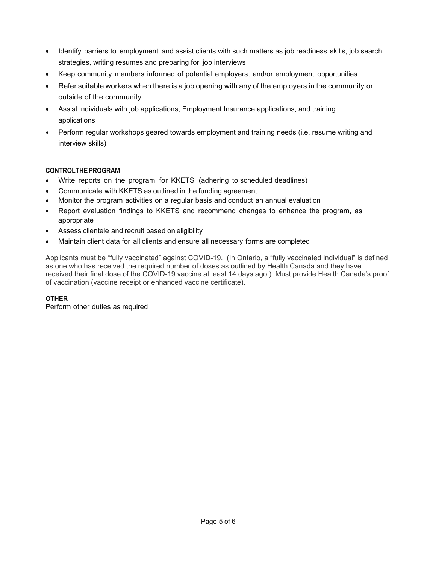- Identify barriers to employment and assist clients with such matters as job readiness skills, job search strategies, writing resumes and preparing for job interviews
- Keep community members informed of potential employers, and/or employment opportunities
- Refer suitable workers when there is a job opening with any of the employers in the community or outside of the community
- Assist individuals with job applications, Employment Insurance applications, and training applications
- Perform regular workshops geared towards employment and training needs (i.e. resume writing and interview skills)

# **CONTROLTHE PROGRAM**

- Write reports on the program for KKETS (adhering to scheduled deadlines)
- Communicate with KKETS as outlined in the funding agreement
- Monitor the program activities on a regular basis and conduct an annual evaluation
- Report evaluation findings to KKETS and recommend changes to enhance the program, as appropriate
- Assess clientele and recruit based on eligibility
- Maintain client data for all clients and ensure all necessary forms are completed

Applicants must be "fully vaccinated" against COVID-19. (In Ontario, a "fully vaccinated individual" is defined as one who has received the required number of doses as outlined by Health Canada and they have received their final dose of the COVID-19 vaccine at least 14 days ago.) Must provide Health Canada's proof of vaccination (vaccine receipt or enhanced vaccine certificate).

# **OTHER**

Perform other duties as required